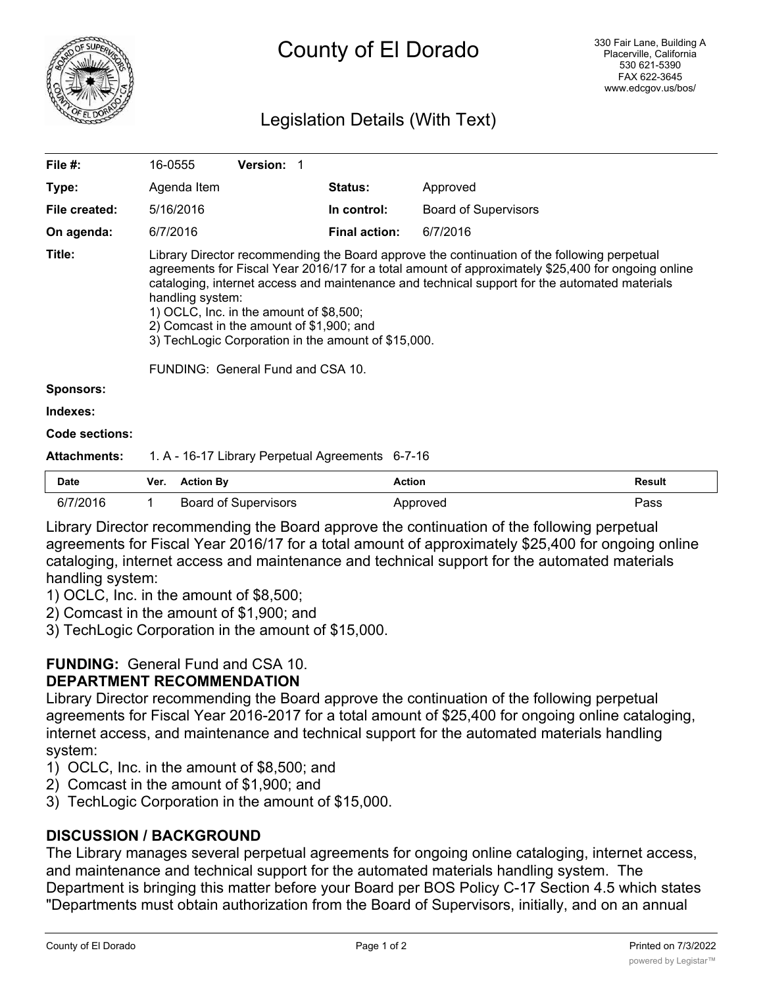

# County of El Dorado

## Legislation Details (With Text)

| File #:               | 16-0555                                                                                                                                                                                                                                                                                                                                                                                                                                                                                                     | <b>Version: 1</b> |                      |                             |  |  |
|-----------------------|-------------------------------------------------------------------------------------------------------------------------------------------------------------------------------------------------------------------------------------------------------------------------------------------------------------------------------------------------------------------------------------------------------------------------------------------------------------------------------------------------------------|-------------------|----------------------|-----------------------------|--|--|
| Type:                 | Agenda Item                                                                                                                                                                                                                                                                                                                                                                                                                                                                                                 |                   | <b>Status:</b>       | Approved                    |  |  |
| File created:         | 5/16/2016                                                                                                                                                                                                                                                                                                                                                                                                                                                                                                   |                   | In control:          | <b>Board of Supervisors</b> |  |  |
| On agenda:            | 6/7/2016                                                                                                                                                                                                                                                                                                                                                                                                                                                                                                    |                   | <b>Final action:</b> | 6/7/2016                    |  |  |
| Title:                | Library Director recommending the Board approve the continuation of the following perpetual<br>agreements for Fiscal Year 2016/17 for a total amount of approximately \$25,400 for ongoing online<br>cataloging, internet access and maintenance and technical support for the automated materials<br>handling system:<br>1) OCLC, Inc. in the amount of $$8,500$ ;<br>2) Comcast in the amount of \$1,900; and<br>3) TechLogic Corporation in the amount of \$15,000.<br>FUNDING: General Fund and CSA 10. |                   |                      |                             |  |  |
| <b>Sponsors:</b>      |                                                                                                                                                                                                                                                                                                                                                                                                                                                                                                             |                   |                      |                             |  |  |
| Indexes:              |                                                                                                                                                                                                                                                                                                                                                                                                                                                                                                             |                   |                      |                             |  |  |
| <b>Code sections:</b> |                                                                                                                                                                                                                                                                                                                                                                                                                                                                                                             |                   |                      |                             |  |  |
| <b>Attachments:</b>   | 1. A - 16-17 Library Perpetual Agreements 6-7-16                                                                                                                                                                                                                                                                                                                                                                                                                                                            |                   |                      |                             |  |  |

| <b>Date</b> | Ver. | <b>Action By</b>            | Action   | Result |
|-------------|------|-----------------------------|----------|--------|
| 7/2016      |      | <b>Board of Supervisors</b> | Approved | Pass   |

Library Director recommending the Board approve the continuation of the following perpetual agreements for Fiscal Year 2016/17 for a total amount of approximately \$25,400 for ongoing online cataloging, internet access and maintenance and technical support for the automated materials handling system:

1) OCLC, Inc. in the amount of \$8,500;

2) Comcast in the amount of \$1,900; and

3) TechLogic Corporation in the amount of \$15,000.

#### **FUNDING:** General Fund and CSA 10. **DEPARTMENT RECOMMENDATION**

Library Director recommending the Board approve the continuation of the following perpetual agreements for Fiscal Year 2016-2017 for a total amount of \$25,400 for ongoing online cataloging, internet access, and maintenance and technical support for the automated materials handling system:

- 1) OCLC, Inc. in the amount of \$8,500; and
- 2) Comcast in the amount of \$1,900; and
- 3) TechLogic Corporation in the amount of \$15,000.

### **DISCUSSION / BACKGROUND**

The Library manages several perpetual agreements for ongoing online cataloging, internet access, and maintenance and technical support for the automated materials handling system. The Department is bringing this matter before your Board per BOS Policy C-17 Section 4.5 which states "Departments must obtain authorization from the Board of Supervisors, initially, and on an annual